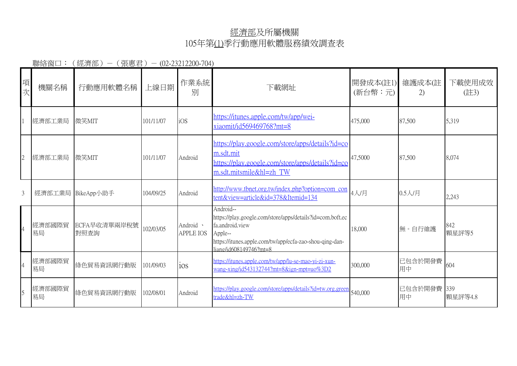## 經濟部及所屬機關 105年第(1)季行動應用軟體服務績效調查表

聯絡窗口: (經濟部) - (張惠君) - (02-23212200-704)

| 項次 | 機關名稱              | 行動應用軟體名稱             | 上線日期      | 作業系統<br>別                     | 下載網址                                                                                                                                                                                         | 開發成本(註1)<br>(新台幣:元) | 維護成本(註<br>2)      | 下載使用成效<br>(註3) |
|----|-------------------|----------------------|-----------|-------------------------------|----------------------------------------------------------------------------------------------------------------------------------------------------------------------------------------------|---------------------|-------------------|----------------|
|    | 經濟部工業局            | 微笑MIT                | 101/11/07 | iOS                           | https://itunes.apple.com/tw/app/wei-<br>xiaomit/id569469768?mt=8                                                                                                                             | 475,000             | 87,500            | 5,319          |
|    | 經濟部工業局            | 微笑MIT                | 101/11/07 | Android                       | https://play.google.com/store/apps/details?id=co<br>m.sdt.mit<br>https://play.google.com/store/apps/details?id=co<br>m.sdt.mitsmile&hl=zh TW                                                 | 47,5000             | 87,500            | 8,074          |
| 3  | 經濟部工業局 BikeApp小助手 |                      | 104/09/25 | Android                       | http://www.tbnet.org.tw/index.php?option=com_con<br>tent&view=article&id=378&Itemid=134                                                                                                      | 4人/月                | 0.5人/月            | 2,243          |
|    | 經濟部國際貿<br>易局      | ECFA早收清單兩岸稅號<br>對照查詢 | 102/03/05 | Android ·<br><b>APPLE IOS</b> | Android--<br>https://play.google.com/store/apps/details?id=com.boft.ec<br>fa.android.view<br>Apple--<br>https://itunes.apple.com/tw/app/ecfa-zao-shou-qing-dan-<br>$li$ ang/id608149746?mt=8 | 18,000              | 無。自行維護            | 842<br>顆星評等5   |
|    | 經濟部國際貿<br>易局      | 綠色貿易資訊網行動版           | 101/09/03 | ios                           | https://itunes.apple.com/tw/app/lu-se-mao-vi-zi-xun-<br>wang-xing/id543132744?mt=8&ign-mpt=uo%3D2                                                                                            | 300,000             | 已包含於開發費<br>用中     | 604            |
|    | 經濟部國際貿<br>易局      | 綠色貿易資訊網行動版           | 102/08/01 | Android                       | https://play.google.com/store/apps/details?id=tw.org.green<br>trade&hl=zh-TW                                                                                                                 | 540,000             | 已包含於開發費 339<br>用中 | 顆星評等4.8        |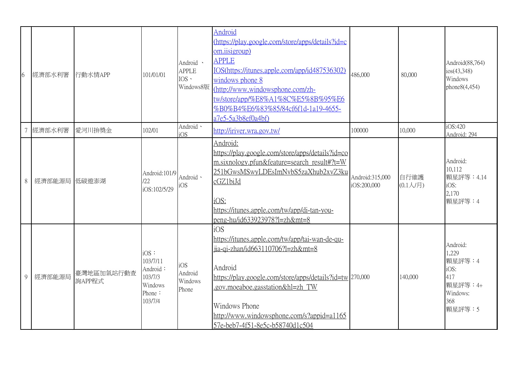| 6              | 經濟部水利署       | 行動水情APP              | 101/01/01                                                                  | Android ·<br><b>APPLE</b><br>$IOS \cdot$ | Android<br>(https://play.google.com/store/apps/details?id=c<br>om.iisigroup)<br><b>APPLE</b><br>IOS(https://itunes.apple.com/app/id487536302)<br>windows phone 8<br>Windows8版 (http://www.windowsphone.com/zh-<br>tw/store/app/%E8%A1%8C%E5%8B%95%E6<br>%B0%B4%E6%83%85/84cf6f1d-1a19-4655-<br>a7e5-5a3b8ef0a4bf) | 486,000                        | 80,000                   | Android(88,764)<br>ios(43,348)<br>Windows<br>phone8(4,454)                          |
|----------------|--------------|----------------------|----------------------------------------------------------------------------|------------------------------------------|-------------------------------------------------------------------------------------------------------------------------------------------------------------------------------------------------------------------------------------------------------------------------------------------------------------------|--------------------------------|--------------------------|-------------------------------------------------------------------------------------|
|                | 經濟部水利署       | 愛河川拚獎金               | 102/01                                                                     | Android ·<br>iOS                         | http://iriver.wra.gov.tw/                                                                                                                                                                                                                                                                                         | 100000                         | 10,000                   | iOS:420<br>Android: 294                                                             |
| 8              | 經濟部能源局 低碳遊澎湖 |                      | Android:101/9<br>122<br>iOS:102/5/29                                       | Android ·<br>iOS                         | Android:<br>https://play.google.com/store/apps/details?id=co<br>m.sixnology.pfun&feature=search_result#?t=W<br>251bGwsMSwyLDEsImNvbS5zaXhub2xvZ3ku<br>cGZ1biJd<br>iOS:<br>https://itunes.apple.com/tw/app/di-tan-you-<br>peng-hu/id633923978?l=zh&mt=8                                                            | Android:315,000<br>iOS:200,000 | 自行維護<br>$(0.1 \sqrt{5})$ | Android:<br>10,112<br>顆星評等: 4.14<br>iOS:<br>2,170<br>顆星評等:4                         |
| $\overline{Q}$ | 經濟部能源局       | 臺灣地區加氣站行動查<br>詢APP程式 | $iOS$ :<br>103/7/11<br>Android:<br>103/7/3<br>Windows<br>Phone:<br>103/7/4 | iOS<br>Android<br>Windows<br>Phone       | iOS<br>https://itunes.apple.com/tw/app/tai-wan-de-qu-<br>jia-qi-zhan/id663110706?l=zh&mt=8<br>Android<br>https://play.google.com/store/apps/details?id=tw 270,000<br>.gov.moeaboe.gasstation&hl=zh TW<br>Windows Phone<br>http://www.windowsphone.com/s?appid=a1165<br>57e-beb7-4f51-8e5c-b58740d1c504            |                                | 140,000                  | Android:<br>1,229<br>顆星評等:4<br>iOS:<br>417<br>顆星評等: 4+<br>Windows:<br>368<br>顆星評等:5 |